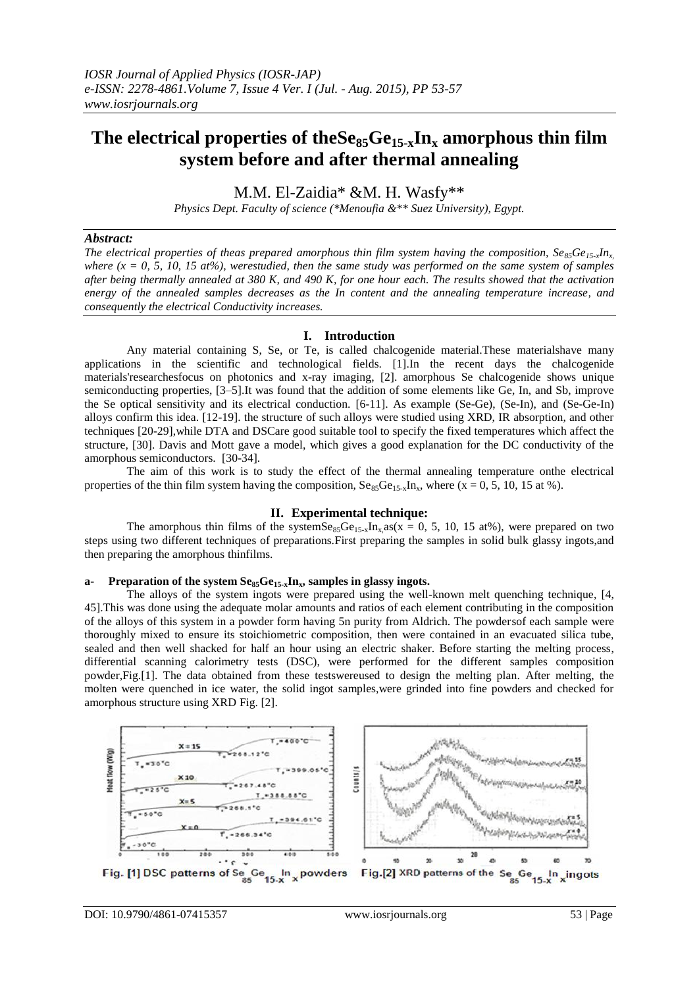# The electrical properties of the  $\text{Se}_{85}\text{Ge}_{15-x}\text{In}_x$  amorphous thin film **system before and after thermal annealing**

M.M. El-Zaidia\* &M. H. Wasfy\*\*

*Physics Dept. Faculty of science (\*Menoufia &\*\* Suez University), Egypt.*

#### *Abstract:*

*The electrical properties of theas prepared amorphous thin film system having the composition,*  $Se_85Ge_{15x}In_x$ *where (x = 0, 5, 10, 15 at%), werestudied, then the same study was performed on the same system of samples after being thermally annealed at 380 K, and 490 K, for one hour each. The results showed that the activation energy of the annealed samples decreases as the In content and the annealing temperature increase, and consequently the electrical Conductivity increases.*

## **I. Introduction**

Any material containing S, Se, or Te, is called chalcogenide material.These materialshave many applications in the scientific and technological fields. [1].In the recent days the chalcogenide materials'researchesfocus on photonics and x-ray imaging, [2]. amorphous Se chalcogenide shows unique semiconducting properties, [3–5].It was found that the addition of some elements like Ge, In, and Sb, improve the Se optical sensitivity and its electrical conduction. [6-11]. As example (Se-Ge), (Se-In), and (Se-Ge-In) alloys confirm this idea. [12-19]. the structure of such alloys were studied using XRD, IR absorption, and other techniques [20-29],while DTA and DSCare good suitable tool to specify the fixed temperatures which affect the structure, [30]. Davis and Mott gave a model, which gives a good explanation for the DC conductivity of the amorphous semiconductors. [30-34].

The aim of this work is to study the effect of the thermal annealing temperature onthe electrical properties of the thin film system having the composition,  $S_{85}Ge_{15x}In_x$ , where (x = 0, 5, 10, 15 at %).

## **II. Experimental technique:**

The amorphous thin films of the systemSe<sub>85</sub>Ge<sub>15x</sub>In<sub>x</sub> as( $\bar{x} = 0$ , 5, 10, 15 at%), were prepared on two steps using two different techniques of preparations.First preparing the samples in solid bulk glassy ingots,and then preparing the amorphous thinfilms.

## **a- Preparation of the system Se85Ge15-xInx, samples in glassy ingots.**

The alloys of the system ingots were prepared using the well-known melt quenching technique, [4, 45].This was done using the adequate molar amounts and ratios of each element contributing in the composition of the alloys of this system in a powder form having 5n purity from Aldrich. The powdersof each sample were thoroughly mixed to ensure its stoichiometric composition, then were contained in an evacuated silica tube, sealed and then well shacked for half an hour using an electric shaker. Before starting the melting process, differential scanning calorimetry tests (DSC), were performed for the different samples composition powder,Fig.[1]. The data obtained from these testswereused to design the melting plan. After melting, the molten were quenched in ice water, the solid ingot samples,were grinded into fine powders and checked for amorphous structure using XRD Fig. [2].

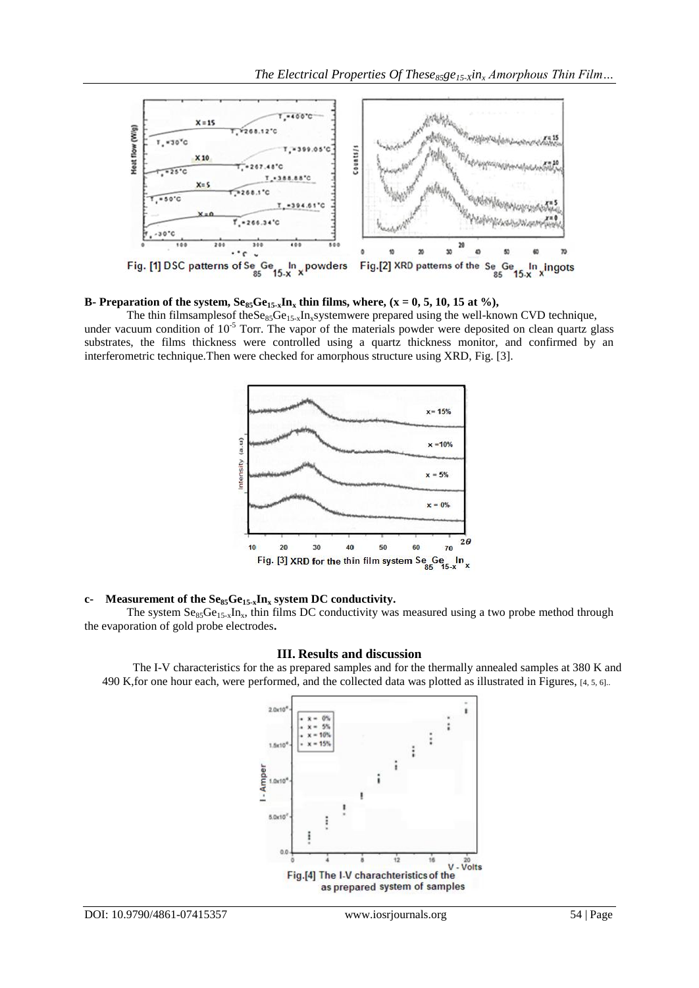

## **B**- **Preparation of the system,**  $\text{Se}_{85}\text{Ge}_{15-x}\text{In}_x$  **thin films, where, (x = 0, 5, 10, 15 at %),**

The thin filmsamples of the  $S_{\rm es}G_{\rm es}$ ,  $S_{\rm es}$ ,  $S_{\rm es}$  the systemwere prepared using the well-known CVD technique, under vacuum condition of  $10^{-5}$  Torr. The vapor of the materials powder were deposited on clean quartz glass substrates, the films thickness were controlled using a quartz thickness monitor, and confirmed by an interferometric technique.Then were checked for amorphous structure using XRD, Fig. [3].



## **c- Measurement of the Se85Ge15-xIn<sup>x</sup> system DC conductivity.**

The system  $Se_{85}Ge_{15-x}In_x$ , thin films DC conductivity was measured using a two probe method through the evaporation of gold probe electrodes**.**

## **III. Results and discussion**

The I-V characteristics for the as prepared samples and for the thermally annealed samples at 380 K and 490 K,for one hour each, were performed, and the collected data was plotted as illustrated in Figures, [4, 5, 6]..

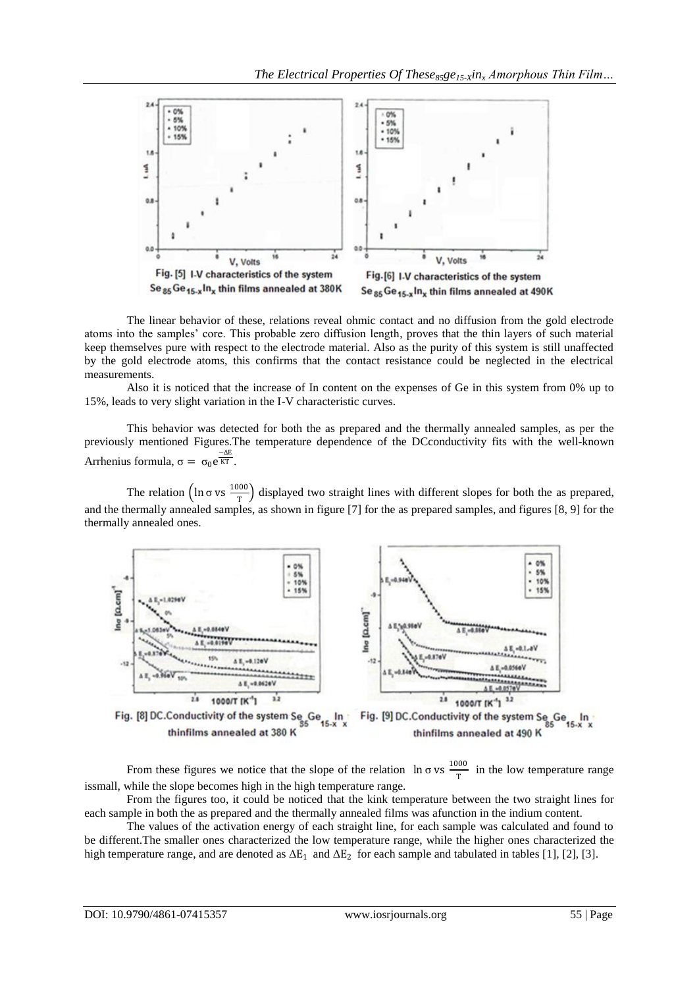

The linear behavior of these, relations reveal ohmic contact and no diffusion from the gold electrode atoms into the samples' core. This probable zero diffusion length, proves that the thin layers of such material keep themselves pure with respect to the electrode material. Also as the purity of this system is still unaffected by the gold electrode atoms, this confirms that the contact resistance could be neglected in the electrical measurements.

Also it is noticed that the increase of In content on the expenses of Ge in this system from 0% up to 15%, leads to very slight variation in the I-V characteristic curves.

This behavior was detected for both the as prepared and the thermally annealed samples, as per the previously mentioned Figures.The temperature dependence of the DCconductivity fits with the well-known Arrhenius formula,  $\sigma = \sigma_0 e^{\frac{-\Delta E}{KT}}$ .

The relation  $\left(\ln \sigma \text{ vs } \frac{1000}{r}\right)$  $\frac{300}{T}$  displayed two straight lines with different slopes for both the as prepared, and the thermally annealed samples, as shown in figure [7] for the as prepared samples, and figures [8, 9] for the thermally annealed ones.



Fig. [8] DC.Conductivity of the system Se Ge Fig. [9] DC.Conductivity of the system Se In thinfilms annealed at 380 K thinfilms annealed at 490 K

From these figures we notice that the slope of the relation  $\ln \sigma$  vs  $\frac{1000}{\pi}$  $\frac{300}{T}$  in the low temperature range issmall, while the slope becomes high in the high temperature range.

From the figures too, it could be noticed that the kink temperature between the two straight lines for each sample in both the as prepared and the thermally annealed films was afunction in the indium content.

The values of the activation energy of each straight line, for each sample was calculated and found to be different.The smaller ones characterized the low temperature range, while the higher ones characterized the high temperature range, and are denoted as  $\Delta E_1$  and  $\Delta E_2$  for each sample and tabulated in tables [1], [2], [3].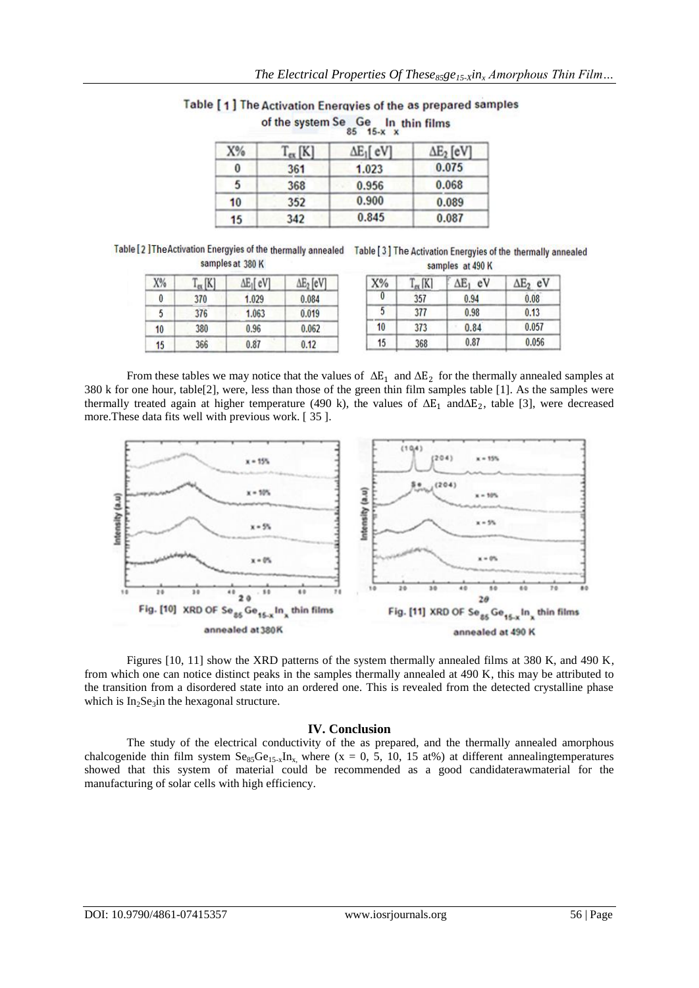|  | Table [1] The Activation Energyies of the as prepared samples |
|--|---------------------------------------------------------------|
|  | of the system Se Ge In thin films                             |

| $T_{ex}$ [K] | $\Delta E_1$ [ eV] | $\Delta E_2$ [eV] |  |
|--------------|--------------------|-------------------|--|
| 361          | 1.023              | 0.075             |  |
| 368          | 0.956              | 0.068             |  |
| 352          | 0.900              | 0.089             |  |
| 342          | 0.845              | 0.087             |  |
|              |                    |                   |  |

Table [2] The Activation Energyies of the thermally annealed Ta samples at 380 K

| able [3] The Activation Energyies of the thermally annealed |                  |  |
|-------------------------------------------------------------|------------------|--|
|                                                             | samples at 490 K |  |

| X% | $T_{ex}$ [K] | $\Delta E_1$ [eV] | $\Delta E_2$ [eV] |
|----|--------------|-------------------|-------------------|
| 0  | 370          | 1.029             | 0.084             |
| 5  | 376          | 1.063             | 0.019             |
| 10 | 380          | 0.96              | 0.062             |
| 15 | 366          | 0.87              | 0.12              |

| [K] | $\Delta E_1$<br>eV | $\Delta E_2$<br>eV |
|-----|--------------------|--------------------|
| 357 | 0.94               | 0.08               |
| 377 | 0.98               | 0.13               |
| 373 | 0.84               | 0.057              |
| 368 | 0.87               | 0.056              |
|     |                    |                    |

From these tables we may notice that the values of  $\Delta E_1$  and  $\Delta E_2$  for the thermally annealed samples at 380 k for one hour, table[2], were, less than those of the green thin film samples table [1]. As the samples were thermally treated again at higher temperature (490 k), the values of  $\Delta E_1$  and  $\Delta E_2$ , table [3], were decreased more.These data fits well with previous work. [ 35 ].



Figures [10, 11] show the XRD patterns of the system thermally annealed films at 380 K, and 490 K, from which one can notice distinct peaks in the samples thermally annealed at 490 K, this may be attributed to the transition from a disordered state into an ordered one. This is revealed from the detected crystalline phase which is  $In<sub>2</sub>Se<sub>3</sub>$ in the hexagonal structure.

## **IV. Conclusion**

The study of the electrical conductivity of the as prepared, and the thermally annealed amorphous chalcogenide thin film system  $Se_{85}Ge_{15-x}In_x$ , where (x = 0, 5, 10, 15 at%) at different annealingtemperatures showed that this system of material could be recommended as a good candidaterawmaterial for the manufacturing of solar cells with high efficiency.